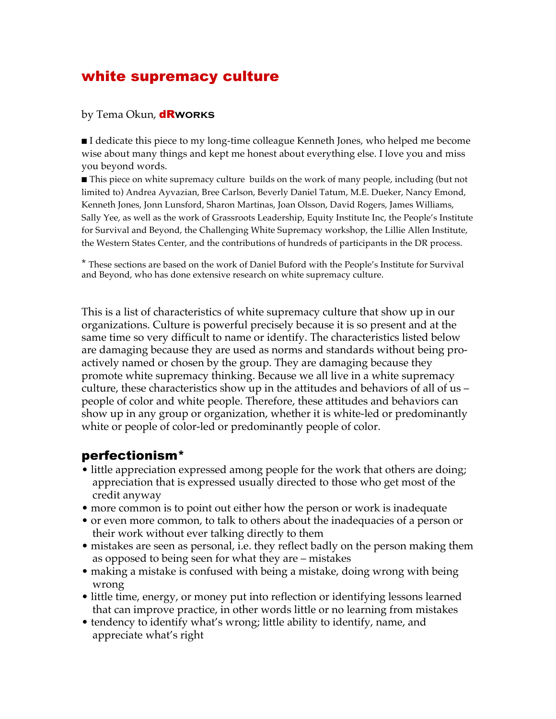## white supremacy culture

#### by Tema Okun, dR**works**

■ I dedicate this piece to my long-time colleague Kenneth Jones, who helped me become wise about many things and kept me honest about everything else. I love you and miss you beyond words.

■ This piece on white supremacy culture builds on the work of many people, including (but not limited to) Andrea Ayvazian, Bree Carlson, Beverly Daniel Tatum, M.E. Dueker, Nancy Emond, Kenneth Jones, Jonn Lunsford, Sharon Martinas, Joan Olsson, David Rogers, James Williams, Sally Yee, as well as the work of Grassroots Leadership, Equity Institute Inc, the People's Institute for Survival and Beyond, the Challenging White Supremacy workshop, the Lillie Allen Institute, the Western States Center, and the contributions of hundreds of participants in the DR process.

\* These sections are based on the work of Daniel Buford with the People's Institute for Survival and Beyond, who has done extensive research on white supremacy culture.

This is a list of characteristics of white supremacy culture that show up in our organizations. Culture is powerful precisely because it is so present and at the same time so very difficult to name or identify. The characteristics listed below are damaging because they are used as norms and standards without being proactively named or chosen by the group. They are damaging because they promote white supremacy thinking. Because we all live in a white supremacy culture, these characteristics show up in the attitudes and behaviors of all of us – people of color and white people. Therefore, these attitudes and behaviors can show up in any group or organization, whether it is white-led or predominantly white or people of color-led or predominantly people of color.

#### perfectionism\*

- little appreciation expressed among people for the work that others are doing; appreciation that is expressed usually directed to those who get most of the credit anyway
- more common is to point out either how the person or work is inadequate
- or even more common, to talk to others about the inadequacies of a person or their work without ever talking directly to them
- mistakes are seen as personal, i.e. they reflect badly on the person making them as opposed to being seen for what they are – mistakes
- making a mistake is confused with being a mistake, doing wrong with being wrong
- little time, energy, or money put into reflection or identifying lessons learned that can improve practice, in other words little or no learning from mistakes
- tendency to identify what's wrong; little ability to identify, name, and appreciate what's right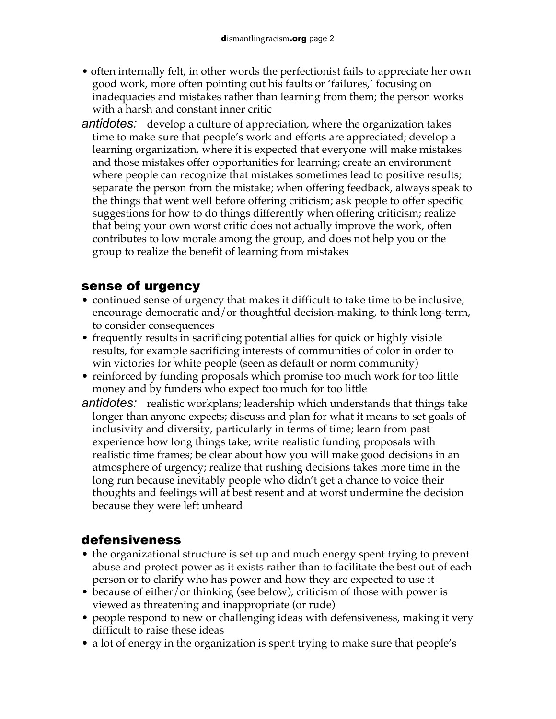- often internally felt, in other words the perfectionist fails to appreciate her own good work, more often pointing out his faults or 'failures,' focusing on inadequacies and mistakes rather than learning from them; the person works with a harsh and constant inner critic
- *antidotes:* develop a culture of appreciation, where the organization takes time to make sure that people's work and efforts are appreciated; develop a learning organization, where it is expected that everyone will make mistakes and those mistakes offer opportunities for learning; create an environment where people can recognize that mistakes sometimes lead to positive results; separate the person from the mistake; when offering feedback, always speak to the things that went well before offering criticism; ask people to offer specific suggestions for how to do things differently when offering criticism; realize that being your own worst critic does not actually improve the work, often contributes to low morale among the group, and does not help you or the group to realize the benefit of learning from mistakes

### sense of urgency

- continued sense of urgency that makes it difficult to take time to be inclusive, encourage democratic and/or thoughtful decision-making, to think long-term, to consider consequences
- frequently results in sacrificing potential allies for quick or highly visible results, for example sacrificing interests of communities of color in order to win victories for white people (seen as default or norm community)
- reinforced by funding proposals which promise too much work for too little money and by funders who expect too much for too little
- *antidotes:* realistic workplans; leadership which understands that things take longer than anyone expects; discuss and plan for what it means to set goals of inclusivity and diversity, particularly in terms of time; learn from past experience how long things take; write realistic funding proposals with realistic time frames; be clear about how you will make good decisions in an atmosphere of urgency; realize that rushing decisions takes more time in the long run because inevitably people who didn't get a chance to voice their thoughts and feelings will at best resent and at worst undermine the decision because they were left unheard

## defensiveness

- the organizational structure is set up and much energy spent trying to prevent abuse and protect power as it exists rather than to facilitate the best out of each person or to clarify who has power and how they are expected to use it
- because of either/or thinking (see below), criticism of those with power is viewed as threatening and inappropriate (or rude)
- people respond to new or challenging ideas with defensiveness, making it very difficult to raise these ideas
- a lot of energy in the organization is spent trying to make sure that people's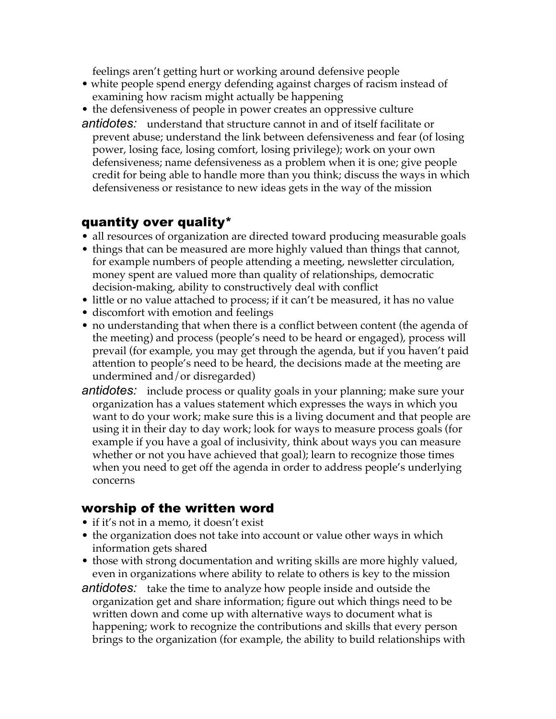feelings aren't getting hurt or working around defensive people

- white people spend energy defending against charges of racism instead of examining how racism might actually be happening
- the defensiveness of people in power creates an oppressive culture
- *antidotes:* understand that structure cannot in and of itself facilitate or prevent abuse; understand the link between defensiveness and fear (of losing power, losing face, losing comfort, losing privilege); work on your own defensiveness; name defensiveness as a problem when it is one; give people credit for being able to handle more than you think; discuss the ways in which defensiveness or resistance to new ideas gets in the way of the mission

#### quantity over quality\*

- all resources of organization are directed toward producing measurable goals
- things that can be measured are more highly valued than things that cannot, for example numbers of people attending a meeting, newsletter circulation, money spent are valued more than quality of relationships, democratic decision-making, ability to constructively deal with conflict
- little or no value attached to process; if it can't be measured, it has no value
- discomfort with emotion and feelings
- no understanding that when there is a conflict between content (the agenda of the meeting) and process (people's need to be heard or engaged), process will prevail (for example, you may get through the agenda, but if you haven't paid attention to people's need to be heard, the decisions made at the meeting are undermined and/or disregarded)
- *antidotes:* include process or quality goals in your planning; make sure your organization has a values statement which expresses the ways in which you want to do your work; make sure this is a living document and that people are using it in their day to day work; look for ways to measure process goals (for example if you have a goal of inclusivity, think about ways you can measure whether or not you have achieved that goal); learn to recognize those times when you need to get off the agenda in order to address people's underlying concerns

#### worship of the written word

- if it's not in a memo, it doesn't exist
- the organization does not take into account or value other ways in which information gets shared
- those with strong documentation and writing skills are more highly valued, even in organizations where ability to relate to others is key to the mission
- *antidotes:* take the time to analyze how people inside and outside the organization get and share information; figure out which things need to be written down and come up with alternative ways to document what is happening; work to recognize the contributions and skills that every person brings to the organization (for example, the ability to build relationships with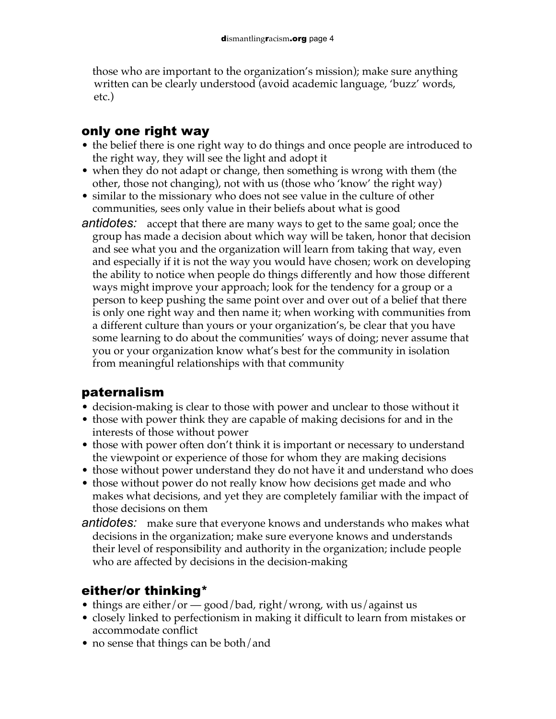those who are important to the organization's mission); make sure anything written can be clearly understood (avoid academic language, 'buzz' words, etc.)

## only one right way

- the belief there is one right way to do things and once people are introduced to the right way, they will see the light and adopt it
- when they do not adapt or change, then something is wrong with them (the other, those not changing), not with us (those who 'know' the right way)
- similar to the missionary who does not see value in the culture of other communities, sees only value in their beliefs about what is good
- *antidotes:* accept that there are many ways to get to the same goal; once the group has made a decision about which way will be taken, honor that decision and see what you and the organization will learn from taking that way, even and especially if it is not the way you would have chosen; work on developing the ability to notice when people do things differently and how those different ways might improve your approach; look for the tendency for a group or a person to keep pushing the same point over and over out of a belief that there is only one right way and then name it; when working with communities from a different culture than yours or your organization's, be clear that you have some learning to do about the communities' ways of doing; never assume that you or your organization know what's best for the community in isolation from meaningful relationships with that community

## paternalism

- decision-making is clear to those with power and unclear to those without it
- those with power think they are capable of making decisions for and in the interests of those without power
- those with power often don't think it is important or necessary to understand the viewpoint or experience of those for whom they are making decisions
- those without power understand they do not have it and understand who does
- those without power do not really know how decisions get made and who makes what decisions, and yet they are completely familiar with the impact of those decisions on them
- *antidotes:* make sure that everyone knows and understands who makes what decisions in the organization; make sure everyone knows and understands their level of responsibility and authority in the organization; include people who are affected by decisions in the decision-making

## either/or thinking\*

- things are either/or good/bad, right/wrong, with us/against us
- closely linked to perfectionism in making it difficult to learn from mistakes or accommodate conflict
- no sense that things can be both/and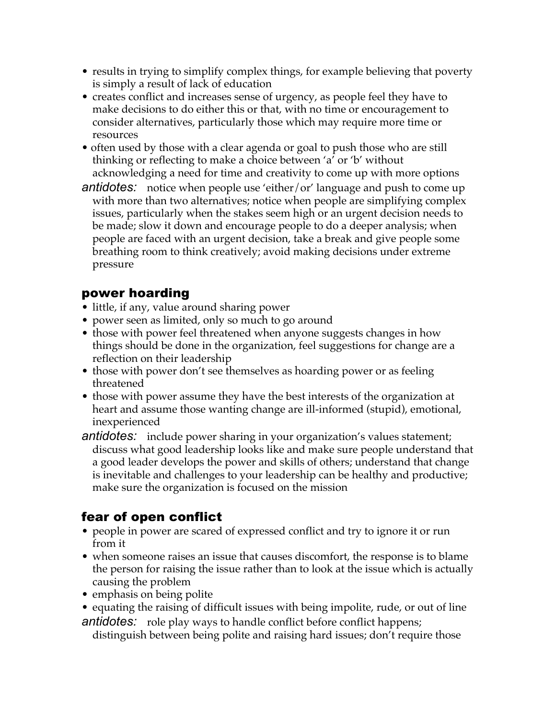- results in trying to simplify complex things, for example believing that poverty is simply a result of lack of education
- creates conflict and increases sense of urgency, as people feel they have to make decisions to do either this or that, with no time or encouragement to consider alternatives, particularly those which may require more time or resources
- often used by those with a clear agenda or goal to push those who are still thinking or reflecting to make a choice between 'a' or 'b' without acknowledging a need for time and creativity to come up with more options
- *antidotes:* notice when people use 'either/or' language and push to come up with more than two alternatives; notice when people are simplifying complex issues, particularly when the stakes seem high or an urgent decision needs to be made; slow it down and encourage people to do a deeper analysis; when people are faced with an urgent decision, take a break and give people some breathing room to think creatively; avoid making decisions under extreme pressure

### power hoarding

- little, if any, value around sharing power
- power seen as limited, only so much to go around
- those with power feel threatened when anyone suggests changes in how things should be done in the organization, feel suggestions for change are a reflection on their leadership
- those with power don't see themselves as hoarding power or as feeling threatened
- those with power assume they have the best interests of the organization at heart and assume those wanting change are ill-informed (stupid), emotional, inexperienced
- *antidotes:* include power sharing in your organization's values statement; discuss what good leadership looks like and make sure people understand that a good leader develops the power and skills of others; understand that change is inevitable and challenges to your leadership can be healthy and productive; make sure the organization is focused on the mission

## fear of open conflict

- people in power are scared of expressed conflict and try to ignore it or run from it
- when someone raises an issue that causes discomfort, the response is to blame the person for raising the issue rather than to look at the issue which is actually causing the problem
- emphasis on being polite
- equating the raising of difficult issues with being impolite, rude, or out of line *antidotes:* role play ways to handle conflict before conflict happens;

distinguish between being polite and raising hard issues; don't require those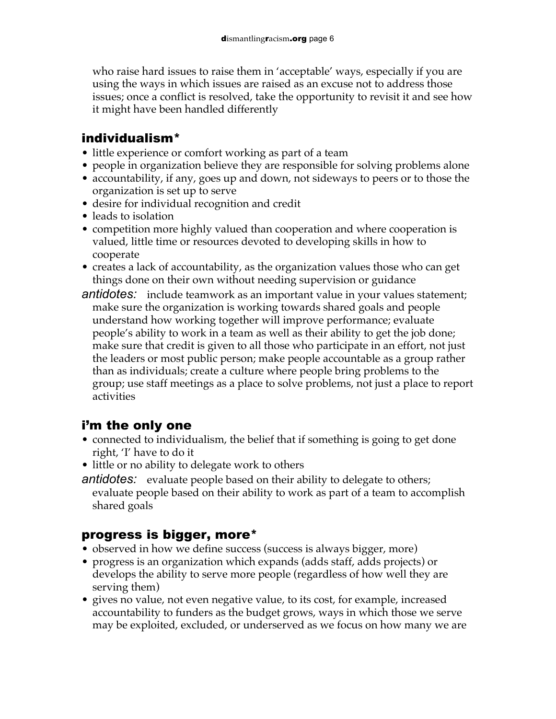who raise hard issues to raise them in 'acceptable' ways, especially if you are using the ways in which issues are raised as an excuse not to address those issues; once a conflict is resolved, take the opportunity to revisit it and see how it might have been handled differently

### individualism\*

- little experience or comfort working as part of a team
- people in organization believe they are responsible for solving problems alone
- accountability, if any, goes up and down, not sideways to peers or to those the organization is set up to serve
- desire for individual recognition and credit
- leads to isolation
- competition more highly valued than cooperation and where cooperation is valued, little time or resources devoted to developing skills in how to cooperate
- creates a lack of accountability, as the organization values those who can get things done on their own without needing supervision or guidance
- *antidotes:* include teamwork as an important value in your values statement; make sure the organization is working towards shared goals and people understand how working together will improve performance; evaluate people's ability to work in a team as well as their ability to get the job done; make sure that credit is given to all those who participate in an effort, not just the leaders or most public person; make people accountable as a group rather than as individuals; create a culture where people bring problems to the group; use staff meetings as a place to solve problems, not just a place to report activities

## i'm the only one

- connected to individualism, the belief that if something is going to get done right, 'I' have to do it
- little or no ability to delegate work to others
- *antidotes:* evaluate people based on their ability to delegate to others; evaluate people based on their ability to work as part of a team to accomplish shared goals

## progress is bigger, more\*

- observed in how we define success (success is always bigger, more)
- progress is an organization which expands (adds staff, adds projects) or develops the ability to serve more people (regardless of how well they are serving them)
- gives no value, not even negative value, to its cost, for example, increased accountability to funders as the budget grows, ways in which those we serve may be exploited, excluded, or underserved as we focus on how many we are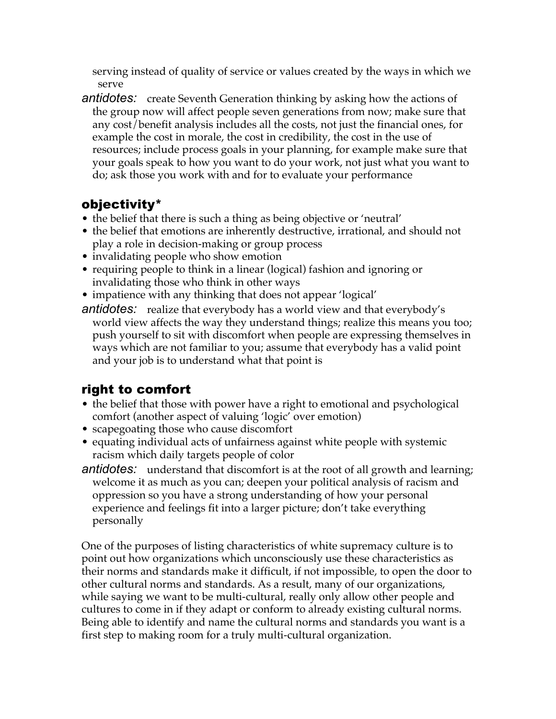serving instead of quality of service or values created by the ways in which we serve

*antidotes:* create Seventh Generation thinking by asking how the actions of the group now will affect people seven generations from now; make sure that any cost/benefit analysis includes all the costs, not just the financial ones, for example the cost in morale, the cost in credibility, the cost in the use of resources; include process goals in your planning, for example make sure that your goals speak to how you want to do your work, not just what you want to do; ask those you work with and for to evaluate your performance

## objectivity\*

- the belief that there is such a thing as being objective or 'neutral'
- the belief that emotions are inherently destructive, irrational, and should not play a role in decision-making or group process
- invalidating people who show emotion
- requiring people to think in a linear (logical) fashion and ignoring or invalidating those who think in other ways
- impatience with any thinking that does not appear 'logical'
- *antidotes:* realize that everybody has a world view and that everybody's world view affects the way they understand things; realize this means you too; push yourself to sit with discomfort when people are expressing themselves in ways which are not familiar to you; assume that everybody has a valid point and your job is to understand what that point is

# right to comfort

- the belief that those with power have a right to emotional and psychological comfort (another aspect of valuing 'logic' over emotion)
- scapegoating those who cause discomfort
- equating individual acts of unfairness against white people with systemic racism which daily targets people of color
- *antidotes:* understand that discomfort is at the root of all growth and learning; welcome it as much as you can; deepen your political analysis of racism and oppression so you have a strong understanding of how your personal experience and feelings fit into a larger picture; don't take everything personally

One of the purposes of listing characteristics of white supremacy culture is to point out how organizations which unconsciously use these characteristics as their norms and standards make it difficult, if not impossible, to open the door to other cultural norms and standards. As a result, many of our organizations, while saying we want to be multi-cultural, really only allow other people and cultures to come in if they adapt or conform to already existing cultural norms. Being able to identify and name the cultural norms and standards you want is a first step to making room for a truly multi-cultural organization.